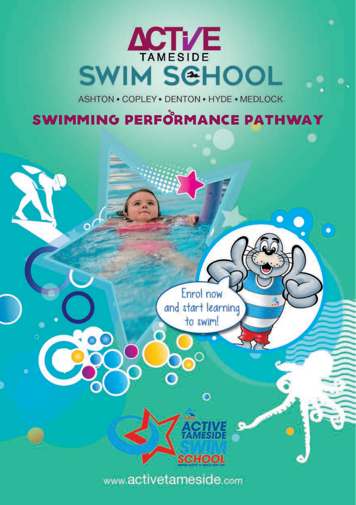# **ACTI/E SWIM SCHOOL**

ASHTON . COPLEY . DENTON . HYDE . MEDLOCK

### SWIMMING PERFORMANCE PATHWAY

Enrol now and start learning to swim!

 $\overline{O}$ 

**CHOOL** 

www.activetameside.com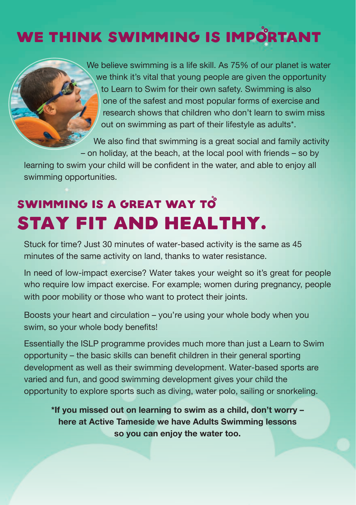## WE THINK SWIMMING IS IMPORTANT



We believe swimming is a life skill. As 75% of our planet is water we think it's vital that young people are given the opportunity to Learn to Swim for their own safety. Swimming is also one of the safest and most popular forms of exercise and research shows that children who don't learn to swim miss out on swimming as part of their lifestyle as adults\*.

We also find that swimming is a great social and family activity – on holiday, at the beach, at the local pool with friends – so by

learning to swim your child will be confdent in the water, and able to enjoy all swimming opportunities.

## SWIMMING IS A GREAT WAY TO stay fit and healthy.

Stuck for time? Just 30 minutes of water-based activity is the same as 45 minutes of the same activity on land, thanks to water resistance.

In need of low-impact exercise? Water takes your weight so it's great for people who require low impact exercise. For example; women during pregnancy, people with poor mobility or those who want to protect their joints.

Boosts your heart and circulation – you're using your whole body when you swim, so your whole body benefits!

Essentially the ISLP programme provides much more than just a Learn to Swim opportunity – the basic skills can benefit children in their general sporting development as well as their swimming development. Water-based sports are varied and fun, and good swimming development gives your child the opportunity to explore sports such as diving, water polo, sailing or snorkeling.

**\*If you missed out on learning to swim as a child, don't worry – here at Active Tameside we have Adults Swimming lessons so you can enjoy the water too.**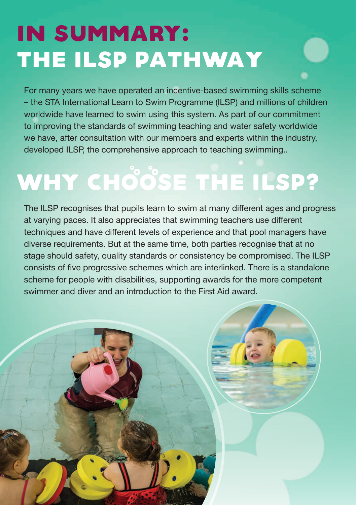## In summary: the ILSP Pathway

For many years we have operated an incentive-based swimming skills scheme – the STA International Learn to Swim Programme (ILSP) and millions of children worldwide have learned to swim using this system. As part of our commitment to improving the standards of swimming teaching and water safety worldwide we have, after consultation with our members and experts within the industry, developed ILSP, the comprehensive approach to teaching swimming..

# WHY CHOOSE THE ILSP?

The ILSP recognises that pupils learn to swim at many diferent ages and progress at varying paces. It also appreciates that swimming teachers use diferent techniques and have diferent levels of experience and that pool managers have diverse requirements. But at the same time, both parties recognise that at no stage should safety, quality standards or consistency be compromised. The ILSP consists of five progressive schemes which are interlinked. There is a standalone scheme for people with disabilities, supporting awards for the more competent swimmer and diver and an introduction to the First Aid award.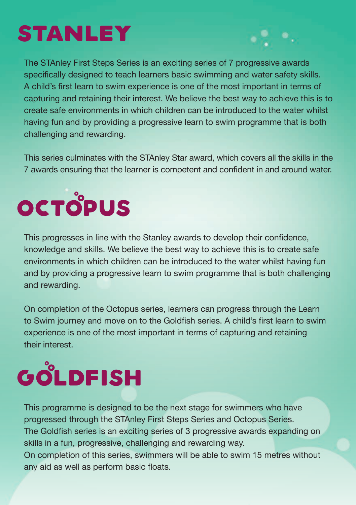## **STANLEY**

The STAnley First Steps Series is an exciting series of 7 progressive awards specifcally designed to teach learners basic swimming and water safety skills. A child's first learn to swim experience is one of the most important in terms of capturing and retaining their interest. We believe the best way to achieve this is to create safe environments in which children can be introduced to the water whilst having fun and by providing a progressive learn to swim programme that is both challenging and rewarding.

This series culminates with the STAnley Star award, which covers all the skills in the 7 awards ensuring that the learner is competent and confdent in and around water.

# **OCTOPUS**

This progresses in line with the Stanley awards to develop their confdence, knowledge and skills. We believe the best way to achieve this is to create safe environments in which children can be introduced to the water whilst having fun and by providing a progressive learn to swim programme that is both challenging and rewarding.

On completion of the Octopus series, learners can progress through the Learn to Swim journey and move on to the Goldfish series. A child's first learn to swim experience is one of the most important in terms of capturing and retaining their interest.

# **GOLDFISH**

This programme is designed to be the next stage for swimmers who have progressed through the STAnley First Steps Series and Octopus Series. The Goldfish series is an exciting series of 3 progressive awards expanding on skills in a fun, progressive, challenging and rewarding way. On completion of this series, swimmers will be able to swim 15 metres without any aid as well as perform basic floats.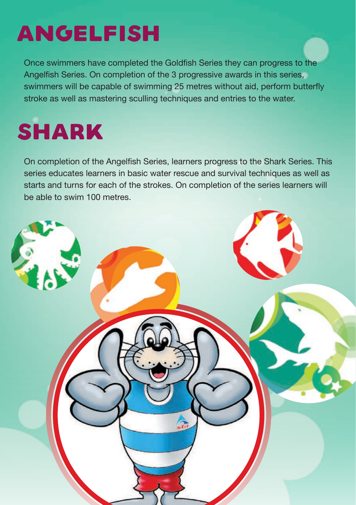## Angelfish

Once swimmers have completed the Goldfish Series they can progress to the Angelfish Series. On completion of the 3 progressive awards in this series, swimmers will be capable of swimming 25 metres without aid, perform butterfy stroke as well as mastering sculling techniques and entries to the water.

# **SHARK**

On completion of the Angelfish Series, learners progress to the Shark Series. This series educates learners in basic water rescue and survival techniques as well as starts and turns for each of the strokes. On completion of the series learners will be able to swim 100 metres.

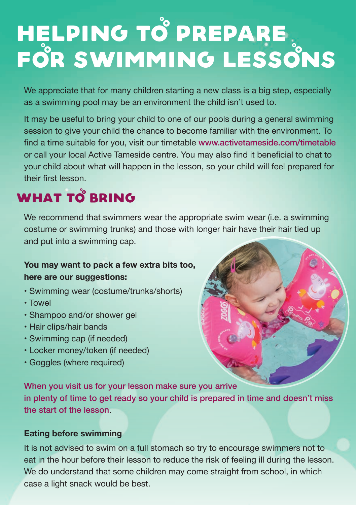# Helping to prepare for swimming lessons

We appreciate that for many children starting a new class is a big step, especially as a swimming pool may be an environment the child isn't used to.

It may be useful to bring your child to one of our pools during a general swimming session to give your child the chance to become familiar with the environment. To find a time suitable for you, visit our timetable www.activetameside.com/timetable or call your local Active Tameside centre. You may also find it beneficial to chat to your child about what will happen in the lesson, so your child will feel prepared for their first lesson

## WHAT TO BRING

We recommend that swimmers wear the appropriate swim wear (i.e. a swimming costume or swimming trunks) and those with longer hair have their hair tied up and put into a swimming cap.

#### **You may want to pack a few extra bits too, here are our suggestions:**

- Swimming wear (costume/trunks/shorts)
- Towel
- Shampoo and/or shower gel
- Hair clips/hair bands
- Swimming cap (if needed)
- Locker money/token (if needed)
- Goggles (where required)



When you visit us for your lesson make sure you arrive in plenty of time to get ready so your child is prepared in time and doesn't miss the start of the lesson.

#### **Eating before swimming**

It is not advised to swim on a full stomach so try to encourage swimmers not to eat in the hour before their lesson to reduce the risk of feeling ill during the lesson. We do understand that some children may come straight from school, in which case a light snack would be best.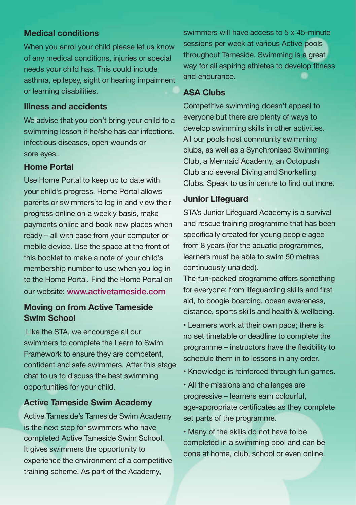#### **Medical conditions**

When you enrol your child please let us know of any medical conditions, injuries or special needs your child has. This could include asthma, epilepsy, sight or hearing impairment or learning disabilities.

#### **Illness and accidents**

We advise that you don't bring your child to a swimming lesson if he/she has ear infections, infectious diseases, open wounds or sore eyes..

#### **Home Portal**

Use Home Portal to keep up to date with your child's progress. Home Portal allows parents or swimmers to log in and view their progress online on a weekly basis, make payments online and book new places when ready – all with ease from your computer or mobile device. Use the space at the front of this booklet to make a note of your child's membership number to use when you log in to the Home Portal. Find the Home Portal on our website: www.activetameside.com

#### **Moving on from Active Tameside Swim School**

 Like the STA, we encourage all our swimmers to complete the Learn to Swim Framework to ensure they are competent, confident and safe swimmers. After this stage chat to us to discuss the best swimming opportunities for your child.

#### **Active Tameside Swim Academy**

Active Tameside's Tameside Swim Academy is the next step for swimmers who have completed Active Tameside Swim School. It gives swimmers the opportunity to experience the environment of a competitive training scheme. As part of the Academy,

swimmers will have access to 5 x 45-minute sessions per week at various Active pools throughout Tameside. Swimming is a great way for all aspiring athletes to develop fitness and endurance.

#### **ASA Clubs**

Competitive swimming doesn't appeal to everyone but there are plenty of ways to develop swimming skills in other activities. All our pools host community swimming clubs, as well as a Synchronised Swimming Club, a Mermaid Academy, an Octopush Club and several Diving and Snorkelling Clubs. Speak to us in centre to find out more.

#### **Junior Lifeguard**

STA's Junior Lifeguard Academy is a survival and rescue training programme that has been specifically created for young people aged from 8 years (for the aquatic programmes, learners must be able to swim 50 metres continuously unaided).

The fun-packed programme offers something for everyone; from lifeguarding skills and first aid, to boogie boarding, ocean awareness, distance, sports skills and health & wellbeing.

• Learners work at their own pace; there is no set timetable or deadline to complete the programme – instructors have the fexibility to schedule them in to lessons in any order.

- Knowledge is reinforced through fun games.
- All the missions and challenges are progressive – learners earn colourful, age-appropriate certificates as they complete set parts of the programme.

• Many of the skills do not have to be completed in a swimming pool and can be done at home, club, school or even online.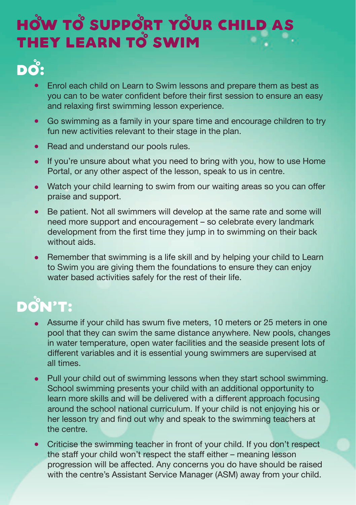## HOW TO SUPPORT YOUR CHILD AS THEY LEARN TO SWIM

## Do:

- Enrol each child on Learn to Swim lessons and prepare them as best as  $\bullet$  you can to be water confdent before their frst session to ensure an easy and relaxing first swimming lesson experience.
- Go swimming as a family in your spare time and encourage children to try  $\bullet$ fun new activities relevant to their stage in the plan.
- Read and understand our pools rules.  $\bullet$
- If you're unsure about what you need to bring with you, how to use Home  $\bullet$ Portal, or any other aspect of the lesson, speak to us in centre.
- Watch your child learning to swim from our waiting areas so you can offer  $\bullet$ praise and support.
- Be patient. Not all swimmers will develop at the same rate and some will  $\bullet$  need more support and encouragement – so celebrate every landmark development from the first time they jump in to swimming on their back without aids
- Remember that swimming is a life skill and by helping your child to Learn  $\bullet$  to Swim you are giving them the foundations to ensure they can enjoy water based activities safely for the rest of their life.

## Don**'**t:

- Assume if your child has swum five meters, 10 meters or 25 meters in one pool that they can swim the same distance anywhere. New pools, changes in water temperature, open water facilities and the seaside present lots of diferent variables and it is essential young swimmers are supervised at all times.
- Pull your child out of swimming lessons when they start school swimming.  $\bullet$  School swimming presents your child with an additional opportunity to learn more skills and will be delivered with a diferent approach focusing around the school national curriculum. If your child is not enjoying his or her lesson try and find out why and speak to the swimming teachers at the centre.
- Criticise the swimming teacher in front of your child. If you don't respect the staff your child won't respect the staff either – meaning lesson progression will be afected. Any concerns you do have should be raised with the centre's Assistant Service Manager (ASM) away from your child.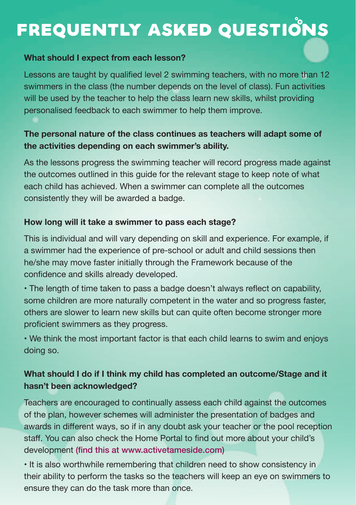## FREQUENTLY ASKED QUESTIONS

#### **What should I expect from each lesson?**

Lessons are taught by qualified level 2 swimming teachers, with no more than 12 swimmers in the class (the number depends on the level of class). Fun activities will be used by the teacher to help the class learn new skills, whilst providing personalised feedback to each swimmer to help them improve.

#### **The personal nature of the class continues as teachers will adapt some of the activities depending on each swimmer's ability.**

As the lessons progress the swimming teacher will record progress made against the outcomes outlined in this guide for the relevant stage to keep note of what each child has achieved. When a swimmer can complete all the outcomes consistently they will be awarded a badge.

#### **How long will it take a swimmer to pass each stage?**

This is individual and will vary depending on skill and experience. For example, if a swimmer had the experience of pre-school or adult and child sessions then he/she may move faster initially through the Framework because of the confdence and skills already developed.

• The length of time taken to pass a badge doesn't always refect on capability, some children are more naturally competent in the water and so progress faster, others are slower to learn new skills but can quite often become stronger more proficient swimmers as they progress.

• We think the most important factor is that each child learns to swim and enjoys doing so.

#### **What should I do if I think my child has completed an outcome/Stage and it hasn't been acknowledged?**

Teachers are encouraged to continually assess each child against the outcomes of the plan, however schemes will administer the presentation of badges and awards in diferent ways, so if in any doubt ask your teacher or the pool reception staf. You can also check the Home Portal to fnd out more about your child's development (find this at www.activetameside.com)

• It is also worthwhile remembering that children need to show consistency in their ability to perform the tasks so the teachers will keep an eye on swimmers to ensure they can do the task more than once.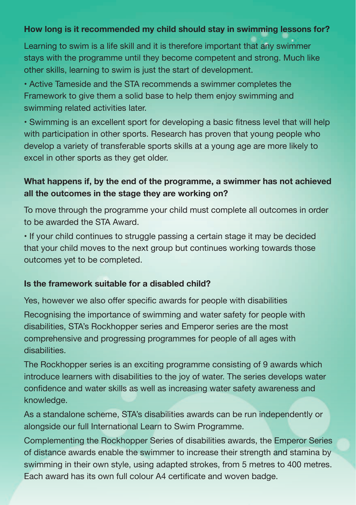#### **How long is it recommended my child should stay in swimming lessons for?**

Learning to swim is a life skill and it is therefore important that any swimmer stays with the programme until they become competent and strong. Much like other skills, learning to swim is just the start of development.

• Active Tameside and the STA recommends a swimmer completes the Framework to give them a solid base to help them enjoy swimming and swimming related activities later.

• Swimming is an excellent sport for developing a basic ftness level that will help with participation in other sports. Research has proven that young people who develop a variety of transferable sports skills at a young age are more likely to excel in other sports as they get older.

#### **What happens if, by the end of the programme, a swimmer has not achieved all the outcomes in the stage they are working on?**

To move through the programme your child must complete all outcomes in order to be awarded the STA Award.

• If your child continues to struggle passing a certain stage it may be decided that your child moves to the next group but continues working towards those outcomes yet to be completed.

#### **Is the framework suitable for a disabled child?**

Yes, however we also offer specific awards for people with disabilities Recognising the importance of swimming and water safety for people with disabilities, STA's Rockhopper series and Emperor series are the most comprehensive and progressing programmes for people of all ages with disabilities.

The Rockhopper series is an exciting programme consisting of 9 awards which introduce learners with disabilities to the joy of water. The series develops water confdence and water skills as well as increasing water safety awareness and knowledge.

As a standalone scheme, STA's disabilities awards can be run independently or alongside our full International Learn to Swim Programme.

Complementing the Rockhopper Series of disabilities awards, the Emperor Series of distance awards enable the swimmer to increase their strength and stamina by swimming in their own style, using adapted strokes, from 5 metres to 400 metres. Each award has its own full colour A4 certifcate and woven badge.